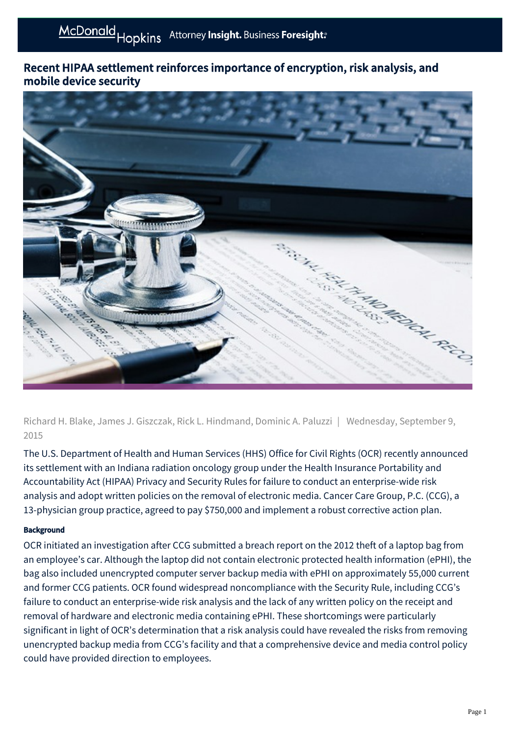## Recent HIPAA settlement reinforces importance of encryption, risk analysis, and mobile device security



Richard H. Blake, James J. Giszczak, Rick L. Hindmand, Dominic A. Paluzzi | Wednesday, September 9, 2015

The U.S. Department of Health and Human Services (HHS) Office for Civil Rights (OCR) recently announced its settlement with an Indiana radiation oncology group under the Health Insurance Portability and Accountability Act (HIPAA) Privacy and Security Rules for failure to conduct an enterprise-wide risk analysis and adopt written policies on the removal of electronic media. Cancer Care Group, P.C. (CCG), a 13-physician group practice, agreed to pay \$750,000 and implement a robust corrective action plan.

### **Background**

OCR initiated an investigation after CCG submitted a breach report on the 2012 theft of a laptop bag from an employee's car. Although the laptop did not contain electronic protected health information (ePHI), the bag also included unencrypted computer server backup media with ePHI on approximately 55,000 current and former CCG patients. OCR found widespread noncompliance with the Security Rule, including CCG's failure to conduct an enterprise-wide risk analysis and the lack of any written policy on the receipt and removal of hardware and electronic media containing ePHI. These shortcomings were particularly significant in light of OCR's determination that a risk analysis could have revealed the risks from removing unencrypted backup media from CCG's facility and that a comprehensive device and media control policy could have provided direction to employees.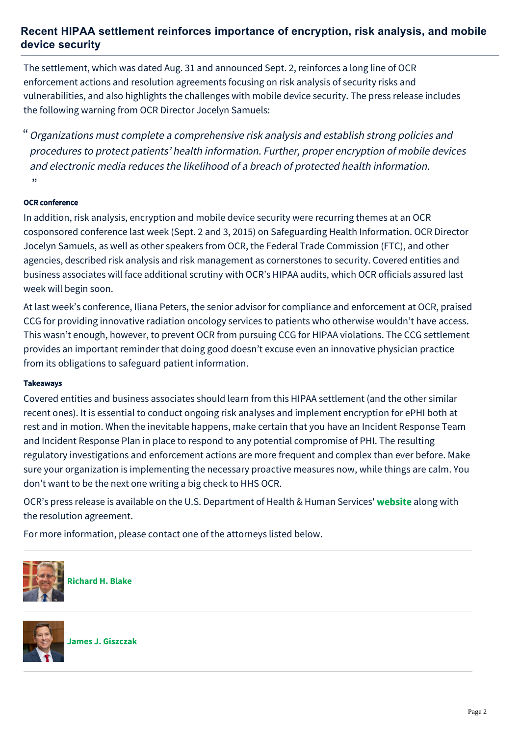### **Recent HIPAA settlement reinforces importance of encryption, risk analysis, and mobile device security**

The settlement, which was dated Aug. 31 and announced Sept. 2, reinforces a long line of OCR enforcement actions and resolution agreements focusing on risk analysis of security risks and vulnerabilities, and also highlights the challenges with mobile device security. The press release includes the following warning from OCR Director Jocelyn Samuels:

Organizations must complete a comprehensive risk analysis and establish strong policies and " procedures to protect patients' health information. Further, proper encryption of mobile devices and electronic media reduces the likelihood of a breach of protected health information. "

#### OCR conference

In addition, risk analysis, encryption and mobile device security were recurring themes at an OCR cosponsored conference last week (Sept. 2 and 3, 2015) on Safeguarding Health Information. OCR Director Jocelyn Samuels, as well as other speakers from OCR, the Federal Trade Commission (FTC), and other agencies, described risk analysis and risk management as cornerstones to security. Covered entities and business associates will face additional scrutiny with OCR's HIPAA audits, which OCR officials assured last week will begin soon.

At last week's conference, Iliana Peters, the senior advisor for compliance and enforcement at OCR, praised CCG for providing innovative radiation oncology services to patients who otherwise wouldn't have access. This wasn't enough, however, to prevent OCR from pursuing CCG for HIPAA violations. The CCG settlement provides an important reminder that doing good doesn't excuse even an innovative physician practice from its obligations to safeguard patient information.

#### Takeaways

Covered entities and business associates should learn from this HIPAA settlement (and the other similar recent ones). It is essential to conduct ongoing risk analyses and implement encryption for ePHI both at rest and in motion. When the inevitable happens, make certain that you have an Incident Response Team and Incident Response Plan in place to respond to any potential compromise of PHI. The resulting regulatory investigations and enforcement actions are more frequent and complex than ever before. Make sure your organization is implementing the necessary proactive measures now, while things are calm. You don't want to be the next one writing a big check to HHS OCR.

OCR's press release is available on the U.S. Department of Health & Human Services' [website](http://www.hhs.gov/ocr/privacy/hipaa/enforcement/examples/cancercare.html) along with the resolution agreement.

For more information, please contact one of the attorneys listed below.



**[Richard H. Blake](https://mcdonaldhopkins.com/Team/Attorney/r/Richard-Blake)**



**[James J. Giszczak](https://mcdonaldhopkins.com/Team/Attorney/j/James-Giszczak)**